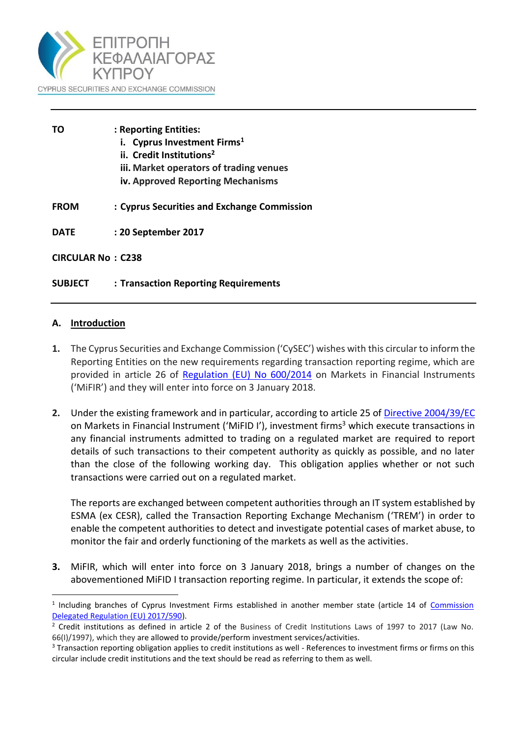

| ТΟ                       | : Reporting Entities:                       |
|--------------------------|---------------------------------------------|
|                          | i. Cyprus Investment Firms <sup>1</sup>     |
|                          | ii. Credit Institutions <sup>2</sup>        |
|                          | iii. Market operators of trading venues     |
|                          | iv. Approved Reporting Mechanisms           |
| <b>FROM</b>              | : Cyprus Securities and Exchange Commission |
| <b>DATE</b>              | : 20 September 2017                         |
| <b>CIRCULAR No: C238</b> |                                             |
| <b>SUBJECT</b>           | : Transaction Reporting Requirements        |

#### **A. Introduction**

 $\overline{a}$ 

- **1.** The Cyprus Securities and Exchange Commission ('CySEC') wishes with this circular to inform the Reporting Entities on the new requirements regarding transaction reporting regime, which are provided in article 26 of [Regulation \(EU\) No 600/2014](http://eur-lex.europa.eu/legal-content/EN/TXT/PDF/?uri=CELEX:32014R0600&from=EN) on Markets in Financial Instruments ('MiFIR') and they will enter into force on 3 January 2018.
- **2.** Under the existing framework and in particular, according to article 25 o[f Directive 2004/39/EC](http://eur-lex.europa.eu/legal-content/EN/TXT/PDF/?uri=CELEX:32004L0039&from=EN) on Markets in Financial Instrument ('MiFID I'), investment firms<sup>3</sup> which execute transactions in any financial instruments admitted to trading on a regulated market are required to report details of such transactions to their competent authority as quickly as possible, and no later than the close of the following working day. This obligation applies whether or not such transactions were carried out on a regulated market.

The reports are exchanged between competent authorities through an IT system established by ESMA (ex CESR), called the Transaction Reporting Exchange Mechanism ('TREM') in order to enable the competent authorities to detect and investigate potential cases of market abuse, to monitor the fair and orderly functioning of the markets as well as the activities.

**3.** MiFIR, which will enter into force on 3 January 2018, brings a number of changes on the abovementioned MiFID I transaction reporting regime. In particular, it extends the scope of:

<sup>&</sup>lt;sup>1</sup> Including branches of Cyprus Investment Firms established in another member state (article 14 of Commission [Delegated Regulation \(EU\) 2017/590\)](https://www.cysec.gov.cy/CMSPages/GetFile.aspx?guid=8ab70f93-aec9-41c8-b1a1-580a4f16296c).

<sup>&</sup>lt;sup>2</sup> Credit institutions as defined in article 2 of the Business of Credit Institutions Laws of 1997 to 2017 (Law No. 66(I)/1997), which they are allowed to provide/perform investment services/activities.

<sup>&</sup>lt;sup>3</sup> Transaction reporting obligation applies to credit institutions as well - References to investment firms or firms on this circular include credit institutions and the text should be read as referring to them as well.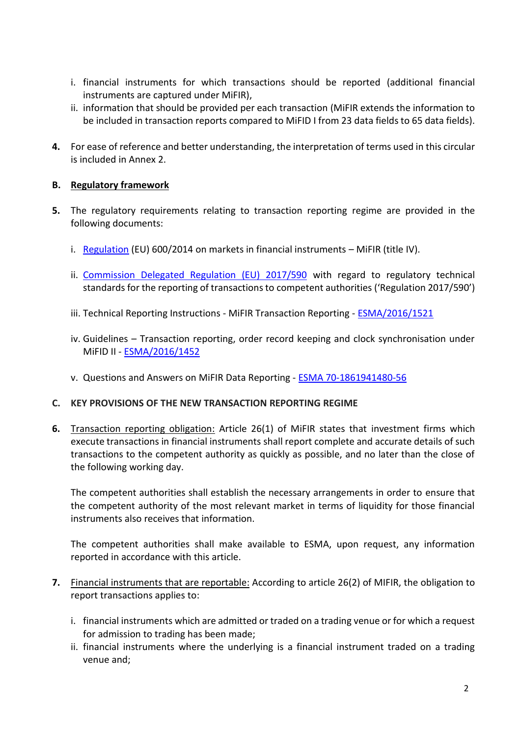- i. financial instruments for which transactions should be reported (additional financial instruments are captured under MiFIR),
- ii. information that should be provided per each transaction (MiFIR extends the information to be included in transaction reports compared to MiFID I from 23 data fields to 65 data fields).
- **4.** For ease of reference and better understanding, the interpretation of terms used in this circular is included in Annex 2.

# **B. Regulatory framework**

- **5.** The regulatory requirements relating to transaction reporting regime are provided in the following documents:
	- i. [Regulation](http://eur-lex.europa.eu/legal-content/EN/TXT/PDF/?uri=CELEX:02014R0600-20160701&from=EN) (EU) 600/2014 on markets in financial instruments MiFIR (title IV).
	- ii. [Commission Delegated Regulation \(EU\) 2017/590](https://www.cysec.gov.cy/CMSPages/GetFile.aspx?guid=8ab70f93-aec9-41c8-b1a1-580a4f16296c) with regard to regulatory technical standards for the reporting of transactions to competent authorities ('Regulation 2017/590')
	- iii. Technical Reporting Instructions MiFIR Transaction Reporting [ESMA/2016/1521](https://www.esma.europa.eu/sites/default/files/library/2016-1521_mifir_transaction_reporting_technical_reporting_instructions.pdf)
	- iv. Guidelines Transaction reporting, order record keeping and clock synchronisation under MiFID II - [ESMA/2016/1452](https://www.esma.europa.eu/sites/default/files/library/2016-1452_guidelines_mifid_ii_transaction_reporting.pdf)
	- v. Questions and Answers on MiFIR Data Reporting [ESMA 70-1861941480-56](https://www.esma.europa.eu/sites/default/files/library/esma70-1861941480-56_qas_mifir_data_reporting.pdf)

# **C. KEY PROVISIONS OF THE NEW TRANSACTION REPORTING REGIME**

**6.** Transaction reporting obligation: Article 26(1) of MiFIR states that investment firms which execute transactions in financial instruments shall report complete and accurate details of such transactions to the competent authority as quickly as possible, and no later than the close of the following working day.

The competent authorities shall establish the necessary arrangements in order to ensure that the competent authority of the most relevant market in terms of liquidity for those financial instruments also receives that information.

The competent authorities shall make available to ESMA, upon request, any information reported in accordance with this article.

- **7.** Financial instruments that are reportable: According to article 26(2) of MIFIR, the obligation to report transactions applies to:
	- i. financial instruments which are admitted or traded on a trading venue or for which a request for admission to trading has been made;
	- ii. financial instruments where the underlying is a financial instrument traded on a trading venue and;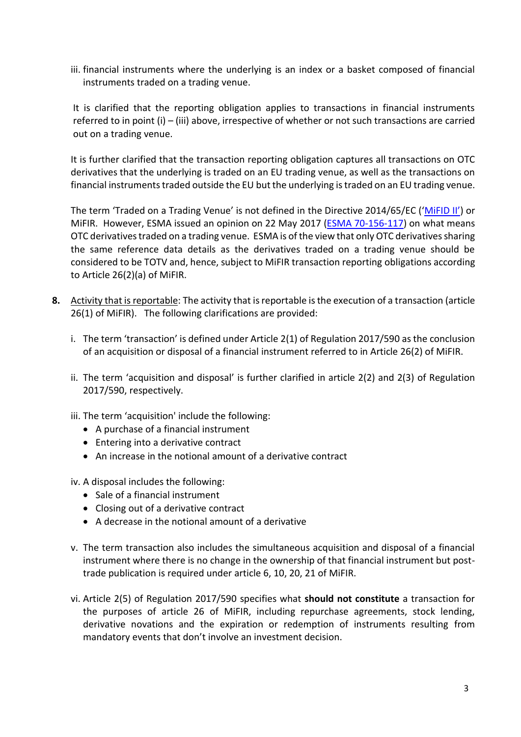iii. financial instruments where the underlying is an index or a basket composed of financial instruments traded on a trading venue.

It is clarified that the reporting obligation applies to transactions in financial instruments referred to in point (i) – (iii) above, irrespective of whether or not such transactions are carried out on a trading venue.

It is further clarified that the transaction reporting obligation captures all transactions on OTC derivatives that the underlying is traded on an EU trading venue, as well as the transactions on financial instruments traded outside the EU but the underlying is traded on an EU trading venue.

The term 'Traded on a Trading Venue' is not defined in the Directive 2014/65/EC (['MiFID II'](http://eur-lex.europa.eu/legal-content/EN/TXT/PDF/?uri=CELEX:32014L0065&from=EN)) or MiFIR. However, ESMA issued an opinion on 22 May 2017 [\(ESMA 70-156-117\)](https://www.esma.europa.eu/sites/default/files/library/esma70-156-117_mifir_opinion_on_totv.pdf) on what means OTC derivatives traded on a trading venue. ESMA is of the view that only OTC derivatives sharing the same reference data details as the derivatives traded on a trading venue should be considered to be TOTV and, hence, subject to MiFIR transaction reporting obligations according to Article 26(2)(a) of MiFIR.

- **8.** Activity that is reportable: The activity that is reportable is the execution of a transaction (article 26(1) of MiFIR). The following clarifications are provided:
	- i. The term 'transaction' is defined under Article 2(1) of Regulation 2017/590 as the conclusion of an acquisition or disposal of a financial instrument referred to in Article 26(2) of MiFIR.
	- ii. The term 'acquisition and disposal' is further clarified in article 2(2) and 2(3) of Regulation 2017/590, respectively.
	- iii. The term 'acquisition' include the following:
		- A purchase of a financial instrument
		- Entering into a derivative contract
		- An increase in the notional amount of a derivative contract
	- iv. A disposal includes the following:
		- Sale of a financial instrument
		- Closing out of a derivative contract
		- A decrease in the notional amount of a derivative
	- v. The term transaction also includes the simultaneous acquisition and disposal of a financial instrument where there is no change in the ownership of that financial instrument but posttrade publication is required under article 6, 10, 20, 21 of MiFIR.
	- vi. Article 2(5) of Regulation 2017/590 specifies what **should not constitute** a transaction for the purposes of article 26 of MiFIR, including repurchase agreements, stock lending, derivative novations and the expiration or redemption of instruments resulting from mandatory events that don't involve an investment decision.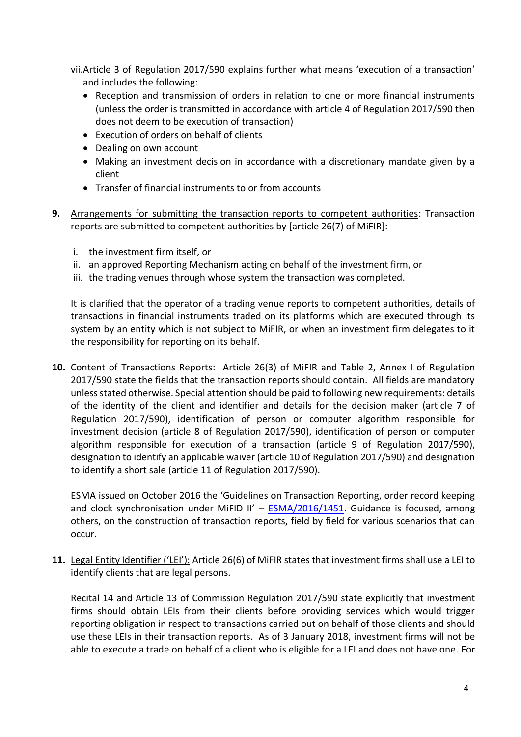vii.Article 3 of Regulation 2017/590 explains further what means 'execution of a transaction' and includes the following:

- Reception and transmission of orders in relation to one or more financial instruments (unless the order is transmitted in accordance with article 4 of Regulation 2017/590 then does not deem to be execution of transaction)
- Execution of orders on behalf of clients
- Dealing on own account
- Making an investment decision in accordance with a discretionary mandate given by a client
- Transfer of financial instruments to or from accounts
- **9.** Arrangements for submitting the transaction reports to competent authorities: Transaction reports are submitted to competent authorities by [article 26(7) of MiFIR]:
	- i. the investment firm itself, or
	- ii. an approved Reporting Mechanism acting on behalf of the investment firm, or
	- iii. the trading venues through whose system the transaction was completed.

It is clarified that the operator of a trading venue reports to competent authorities, details of transactions in financial instruments traded on its platforms which are executed through its system by an entity which is not subject to MiFIR, or when an investment firm delegates to it the responsibility for reporting on its behalf.

**10.** Content of Transactions Reports: Article 26(3) of MiFIR and Table 2, Annex I of Regulation 2017/590 state the fields that the transaction reports should contain. All fields are mandatory unless stated otherwise. Special attention should be paid to following new requirements: details of the identity of the client and identifier and details for the decision maker (article 7 of Regulation 2017/590), identification of person or computer algorithm responsible for investment decision (article 8 of Regulation 2017/590), identification of person or computer algorithm responsible for execution of a transaction (article 9 of Regulation 2017/590), designation to identify an applicable waiver (article 10 of Regulation 2017/590) and designation to identify a short sale (article 11 of Regulation 2017/590).

ESMA issued on October 2016 the 'Guidelines on Transaction Reporting, order record keeping and clock synchronisation under MiFID II' -  $ESMA/2016/1451$ . Guidance is focused, among others, on the construction of transaction reports, field by field for various scenarios that can occur.

**11.** Legal Entity Identifier ('LEI'): Article 26(6) of MiFIR states that investment firms shall use a LEI to identify clients that are legal persons.

Recital 14 and Article 13 of Commission Regulation 2017/590 state explicitly that investment firms should obtain LEIs from their clients before providing services which would trigger reporting obligation in respect to transactions carried out on behalf of those clients and should use these LEIs in their transaction reports. As of 3 January 2018, investment firms will not be able to execute a trade on behalf of a client who is eligible for a LEI and does not have one. For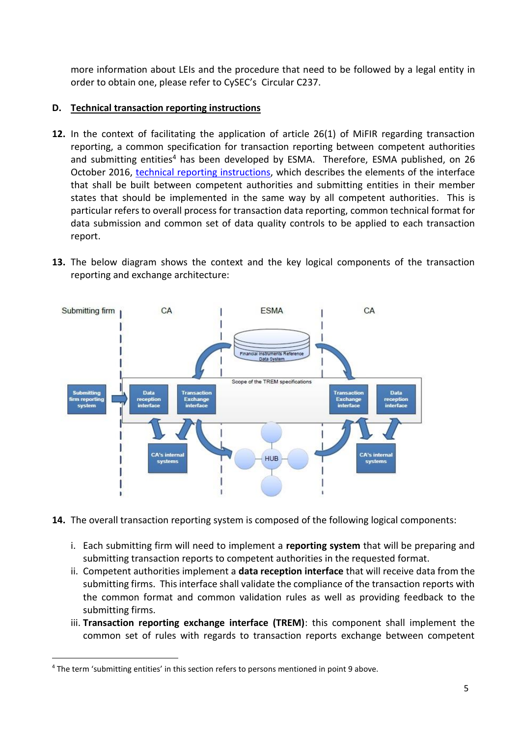more information about LEIs and the procedure that need to be followed by a legal entity in order to obtain one, please refer to CySEC's Circular C237.

# **D. Technical transaction reporting instructions**

- **12.** In the context of facilitating the application of article 26(1) of MiFIR regarding transaction reporting, a common specification for transaction reporting between competent authorities and submitting entities<sup>4</sup> has been developed by ESMA. Therefore, ESMA published, on 26 October 2016, [technical reporting instructions,](https://www.esma.europa.eu/sites/default/files/library/2016-1521_mifir_transaction_reporting_technical_reporting_instructions.pdf) which describes the elements of the interface that shall be built between competent authorities and submitting entities in their member states that should be implemented in the same way by all competent authorities. This is particular refers to overall process for transaction data reporting, common technical format for data submission and common set of data quality controls to be applied to each transaction report.
- **13.** The below diagram shows the context and the key logical components of the transaction reporting and exchange architecture:



- **14.** The overall transaction reporting system is composed of the following logical components:
	- i. Each submitting firm will need to implement a **reporting system** that will be preparing and submitting transaction reports to competent authorities in the requested format.
	- ii. Competent authorities implement a **data reception interface** that will receive data from the submitting firms. This interface shall validate the compliance of the transaction reports with the common format and common validation rules as well as providing feedback to the submitting firms.
	- iii. **Transaction reporting exchange interface (TREM)**: this component shall implement the common set of rules with regards to transaction reports exchange between competent

 $\overline{a}$ 

<sup>4</sup> The term 'submitting entities' in this section refers to persons mentioned in point 9 above.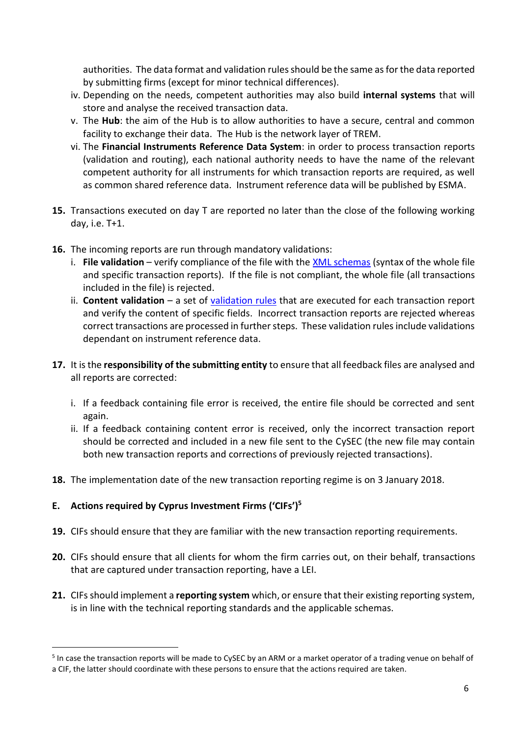authorities. The data format and validation rules should be the same as for the data reported by submitting firms (except for minor technical differences).

- iv. Depending on the needs, competent authorities may also build **internal systems** that will store and analyse the received transaction data.
- v. The **Hub**: the aim of the Hub is to allow authorities to have a secure, central and common facility to exchange their data. The Hub is the network layer of TREM.
- vi. The **Financial Instruments Reference Data System**: in order to process transaction reports (validation and routing), each national authority needs to have the name of the relevant competent authority for all instruments for which transaction reports are required, as well as common shared reference data. Instrument reference data will be published by ESMA.
- **15.** Transactions executed on day T are reported no later than the close of the following working day, i.e. T+1.
- **16.** The incoming reports are run through mandatory validations:
	- i. **File validation** verify compliance of the file with the [XML schemas](https://www.esma.europa.eu/sites/default/files/library/2016-1521_annex_2_mifir_transaction_reporting_iso20022_xml_schemas.zip) (syntax of the whole file and specific transaction reports). If the file is not compliant, the whole file (all transactions included in the file) is rejected.
	- ii. **Content validation**  a set of [validation rules](https://www.esma.europa.eu/sites/default/files/library/2016-1521_annex_1_mifir_transaction_reporting_validation_rules.xlsx) that are executed for each transaction report and verify the content of specific fields. Incorrect transaction reports are rejected whereas correct transactions are processed in further steps. These validation rules include validations dependant on instrument reference data.
- **17.** It is the **responsibility of the submitting entity** to ensure that all feedback files are analysed and all reports are corrected:
	- i. If a feedback containing file error is received, the entire file should be corrected and sent again.
	- ii. If a feedback containing content error is received, only the incorrect transaction report should be corrected and included in a new file sent to the CySEC (the new file may contain both new transaction reports and corrections of previously rejected transactions).
- **18.** The implementation date of the new transaction reporting regime is on 3 January 2018.

# **E. Actions required by Cyprus Investment Firms ('CIFs')<sup>5</sup>**

 $\overline{a}$ 

- **19.** CIFs should ensure that they are familiar with the new transaction reporting requirements.
- **20.** CIFs should ensure that all clients for whom the firm carries out, on their behalf, transactions that are captured under transaction reporting, have a LEI.
- **21.** CIFs should implement a **reporting system** which, or ensure that their existing reporting system, is in line with the technical reporting standards and the applicable schemas.

<sup>&</sup>lt;sup>5</sup> In case the transaction reports will be made to CySEC by an ARM or a market operator of a trading venue on behalf of a CIF, the latter should coordinate with these persons to ensure that the actions required are taken.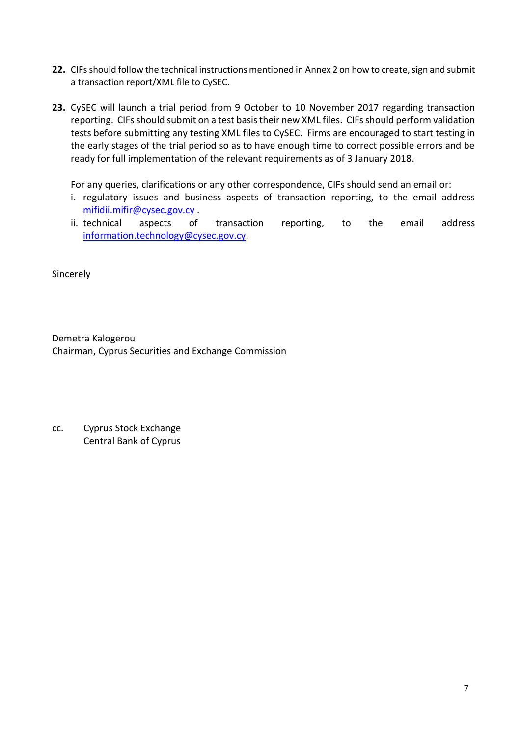- 22. CIFs should follow the technical instructions mentioned in Annex 2 on how to create, sign and submit a transaction report/XML file to CySEC.
- **23.** CySEC will launch a trial period from 9 October to 10 November 2017 regarding transaction reporting. CIFs should submit on a test basis their new XML files. CIFs should perform validation tests before submitting any testing XML files to CySEC. Firms are encouraged to start testing in the early stages of the trial period so as to have enough time to correct possible errors and be ready for full implementation of the relevant requirements as of 3 January 2018.

For any queries, clarifications or any other correspondence, CIFs should send an email or:

- i. regulatory issues and business aspects of transaction reporting, to the email address [mifidii.mifir@cysec.gov.cy](mailto:mifidii.mifir@cysec.gov.cy) .
- ii. technical aspects of transaction reporting, to the email address [information.technology@cysec.gov.cy.](mailto:information.technology@cysec.gov.cy)

Sincerely

Demetra Kalogerou Chairman, Cyprus Securities and Exchange Commission

cc. Cyprus Stock Exchange Central Bank of Cyprus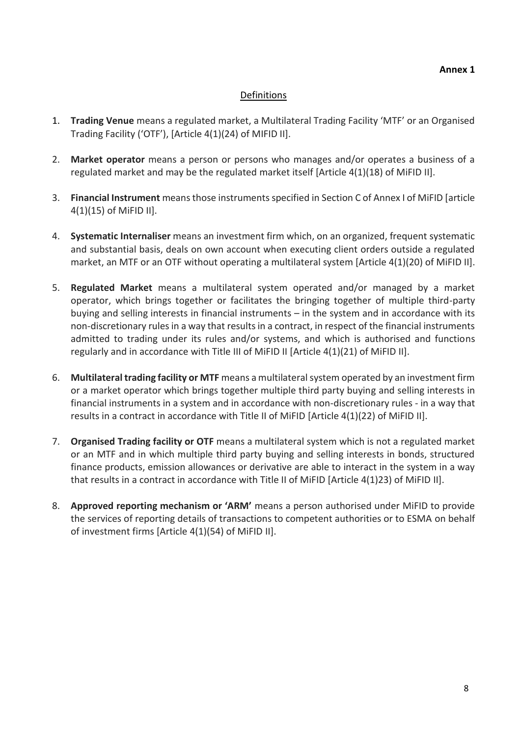### **Annex 1**

# Definitions

- 1. **Trading Venue** means a regulated market, a Multilateral Trading Facility 'MTF' or an Organised Trading Facility ('OTF'), [Article 4(1)(24) of MIFID II].
- 2. **Market operator** means a person or persons who manages and/or operates a business of a regulated market and may be the regulated market itself [Article 4(1)(18) of MiFID II].
- 3. **Financial Instrument** means those instruments specified in Section C of Annex I of MiFID [article 4(1)(15) of MiFID II].
- 4. **Systematic Internaliser** means an investment firm which, on an organized, frequent systematic and substantial basis, deals on own account when executing client orders outside a regulated market, an MTF or an OTF without operating a multilateral system [Article 4(1)(20) of MiFID II].
- 5. **Regulated Market** means a multilateral system operated and/or managed by a market operator, which brings together or facilitates the bringing together of multiple third-party buying and selling interests in financial instruments – in the system and in accordance with its non-discretionary rules in a way that results in a contract, in respect of the financial instruments admitted to trading under its rules and/or systems, and which is authorised and functions regularly and in accordance with Title III of MiFID II [Article 4(1)(21) of MiFID II].
- 6. **Multilateral trading facility or MTF** means a multilateral system operated by an investment firm or a market operator which brings together multiple third party buying and selling interests in financial instruments in a system and in accordance with non-discretionary rules - in a way that results in a contract in accordance with Title II of MiFID [Article 4(1)(22) of MiFID II].
- 7. **Organised Trading facility or OTF** means a multilateral system which is not a regulated market or an MTF and in which multiple third party buying and selling interests in bonds, structured finance products, emission allowances or derivative are able to interact in the system in a way that results in a contract in accordance with Title II of MiFID [Article 4(1)23) of MiFID II].
- 8. **Approved reporting mechanism or 'ARM'** means a person authorised under MiFID to provide the services of reporting details of transactions to competent authorities or to ESMA on behalf of investment firms [Article 4(1)(54) of MiFID II].